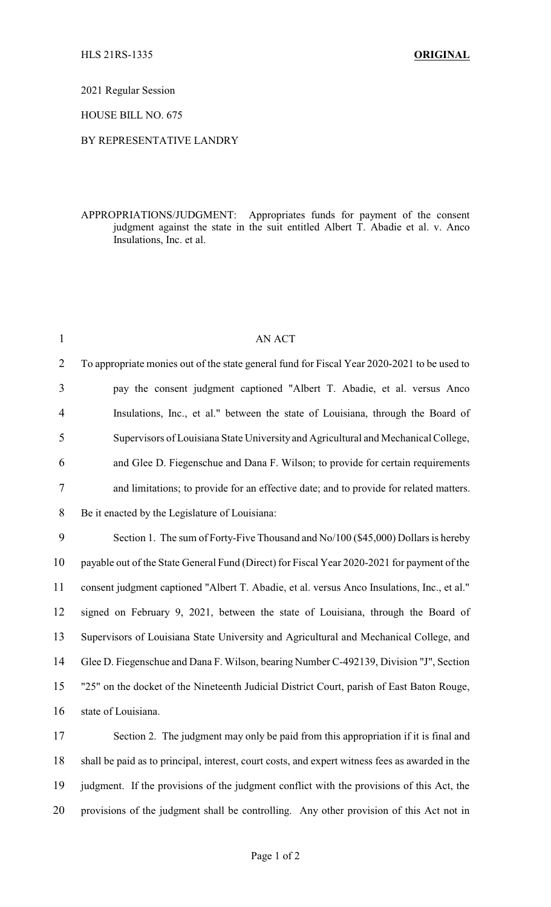2021 Regular Session

HOUSE BILL NO. 675

## BY REPRESENTATIVE LANDRY

APPROPRIATIONS/JUDGMENT: Appropriates funds for payment of the consent judgment against the state in the suit entitled Albert T. Abadie et al. v. Anco Insulations, Inc. et al.

| $\mathbf{1}$   | AN ACT                                                                                          |
|----------------|-------------------------------------------------------------------------------------------------|
| $\overline{2}$ | To appropriate monies out of the state general fund for Fiscal Year 2020-2021 to be used to     |
| $\overline{3}$ | pay the consent judgment captioned "Albert T. Abadie, et al. versus Anco                        |
| $\overline{4}$ | Insulations, Inc., et al." between the state of Louisiana, through the Board of                 |
| 5              | Supervisors of Louisiana State University and Agricultural and Mechanical College,              |
| 6              | and Glee D. Fiegenschue and Dana F. Wilson; to provide for certain requirements                 |
| 7              | and limitations; to provide for an effective date; and to provide for related matters.          |
| 8              | Be it enacted by the Legislature of Louisiana:                                                  |
| 9              | Section 1. The sum of Forty-Five Thousand and No/100 (\$45,000) Dollars is hereby               |
| 10             | payable out of the State General Fund (Direct) for Fiscal Year 2020-2021 for payment of the     |
| 11             | consent judgment captioned "Albert T. Abadie, et al. versus Anco Insulations, Inc., et al."     |
| 12             | signed on February 9, 2021, between the state of Louisiana, through the Board of                |
| 13             | Supervisors of Louisiana State University and Agricultural and Mechanical College, and          |
| 14             | Glee D. Fiegenschue and Dana F. Wilson, bearing Number C-492139, Division "J", Section          |
| 15             | "25" on the docket of the Nineteenth Judicial District Court, parish of East Baton Rouge,       |
| 16             | state of Louisiana.                                                                             |
| 17             | Section 2. The judgment may only be paid from this appropriation if it is final and             |
| 18             | shall be paid as to principal, interest, court costs, and expert witness fees as awarded in the |
| 19             | judgment. If the provisions of the judgment conflict with the provisions of this Act, the       |

20 provisions of the judgment shall be controlling. Any other provision of this Act not in